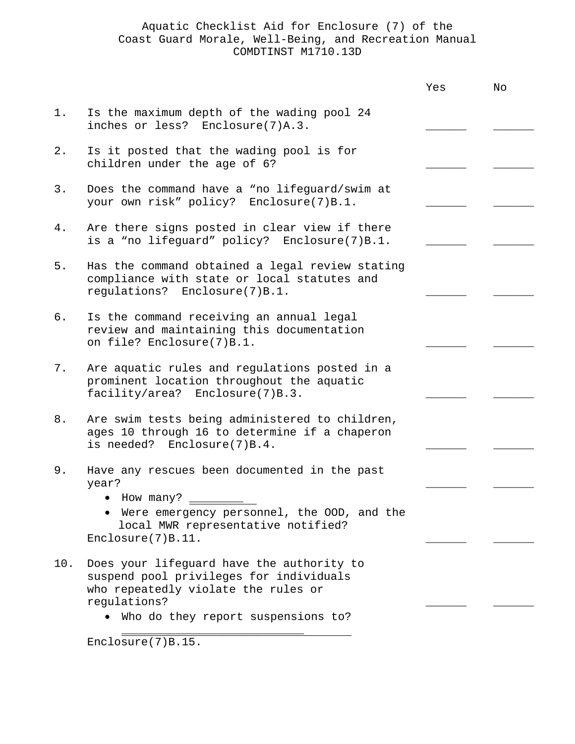|     |                                                                                                                                             | Yes | No |
|-----|---------------------------------------------------------------------------------------------------------------------------------------------|-----|----|
| 1.  | Is the maximum depth of the wading pool 24<br>inches or less? Enclosure(7)A.3.                                                              |     |    |
| 2.  | Is it posted that the wading pool is for<br>children under the age of 6?                                                                    |     |    |
| 3.  | Does the command have a "no lifeguard/swim at<br>your own risk" policy? Enclosure(7)B.1.                                                    |     |    |
| 4.  | Are there signs posted in clear view if there<br>is a "no lifeguard" policy? Enclosure(7)B.1.                                               |     |    |
| 5.  | Has the command obtained a legal review stating<br>compliance with state or local statutes and<br>regulations? Enclosure(7)B.1.             |     |    |
| б.  | Is the command receiving an annual legal<br>review and maintaining this documentation<br>on file? Enclosure(7)B.1.                          |     |    |
| 7.  | Are aquatic rules and regulations posted in a<br>prominent location throughout the aquatic<br>facility/area? Enclosure(7)B.3.               |     |    |
| 8.  | Are swim tests being administered to children,<br>ages 10 through 16 to determine if a chaperon<br>is needed? Enclosure(7)B.4.              |     |    |
| 9.  | Have any rescues been documented in the past<br>year?                                                                                       |     |    |
|     | • How many?<br>Were emergency personnel, the OOD, and the<br>local MWR representative notified?<br>Enclosure(7)B.11.                        |     |    |
| 10. | Does your lifeguard have the authority to<br>suspend pool privileges for individuals<br>who repeatedly violate the rules or<br>regulations? |     |    |
|     | Who do they report suspensions to?                                                                                                          |     |    |

Enclosure(7)B.15.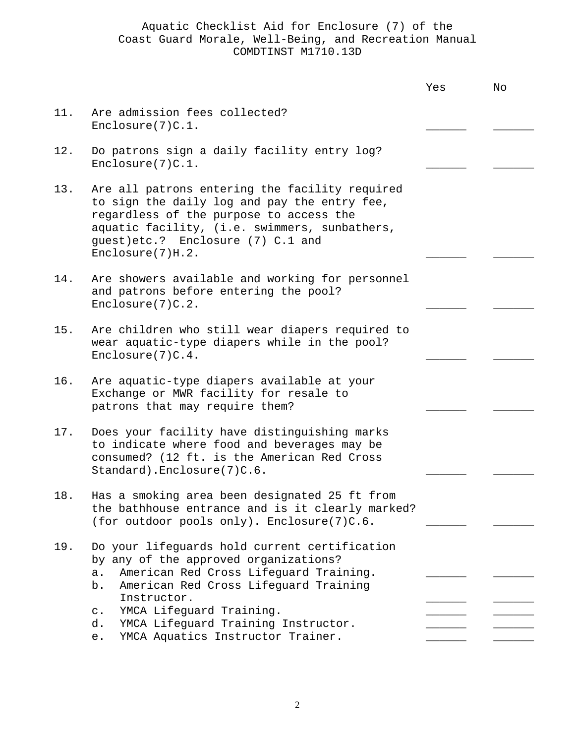|     |                                                                                                                                                                                                                                                                                                                                            | Yes | No |
|-----|--------------------------------------------------------------------------------------------------------------------------------------------------------------------------------------------------------------------------------------------------------------------------------------------------------------------------------------------|-----|----|
| 11. | Are admission fees collected?<br>Enclose(7)C.1.                                                                                                                                                                                                                                                                                            |     |    |
| 12. | Do patrons sign a daily facility entry log?<br>Enclosure(7)C.1.                                                                                                                                                                                                                                                                            |     |    |
| 13. | Are all patrons entering the facility required<br>to sign the daily log and pay the entry fee,<br>regardless of the purpose to access the<br>aquatic facility, (i.e. swimmers, sunbathers,<br>guest)etc.? Enclosure (7) C.1 and<br>Enclosure(7)H.2.                                                                                        |     |    |
| 14. | Are showers available and working for personnel<br>and patrons before entering the pool?<br>Enclosure(7)C.2.                                                                                                                                                                                                                               |     |    |
| 15. | Are children who still wear diapers required to<br>wear aquatic-type diapers while in the pool?<br>Enclosure(7)C.4.                                                                                                                                                                                                                        |     |    |
| 16. | Are aquatic-type diapers available at your<br>Exchange or MWR facility for resale to<br>patrons that may require them?                                                                                                                                                                                                                     |     |    |
| 17. | Does your facility have distinguishing marks<br>to indicate where food and beverages may be<br>consumed? (12 ft. is the American Red Cross<br>Standard). Enclosure(7)C.6.                                                                                                                                                                  |     |    |
| 18. | Has a smoking area been designated 25 ft from<br>the bathhouse entrance and is it clearly marked?<br>(for outdoor pools only). Enclosure(7)C.6.                                                                                                                                                                                            |     |    |
| 19. | Do your lifeguards hold current certification<br>by any of the approved organizations?<br>American Red Cross Lifeguard Training.<br>a.<br>American Red Cross Lifeguard Training<br>b.<br>Instructor.<br>YMCA Lifeguard Training.<br>$\mathtt{C}$ .<br>YMCA Lifeguard Training Instructor.<br>d.<br>YMCA Aquatics Instructor Trainer.<br>e. |     |    |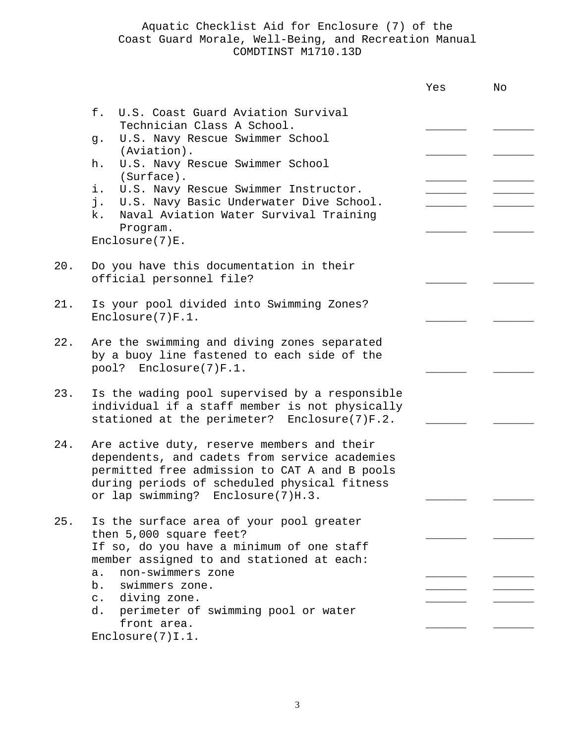|     |                                                                                                                                                                                                                                   | Yes | No |
|-----|-----------------------------------------------------------------------------------------------------------------------------------------------------------------------------------------------------------------------------------|-----|----|
|     | U.S. Coast Guard Aviation Survival<br>f.<br>Technician Class A School.                                                                                                                                                            |     |    |
|     | U.S. Navy Rescue Swimmer School<br>g.<br>(Aviation).                                                                                                                                                                              |     |    |
|     | U.S. Navy Rescue Swimmer School<br>h.                                                                                                                                                                                             |     |    |
|     | (Surface).<br>i.<br>U.S. Navy Rescue Swimmer Instructor.<br>j. U.S. Navy Basic Underwater Dive School.<br>Naval Aviation Water Survival Training<br>k.<br>Program.<br>Enclosure(7)E.                                              |     |    |
| 20. | Do you have this documentation in their<br>official personnel file?                                                                                                                                                               |     |    |
| 21. | Is your pool divided into Swimming Zones?<br>Enclose(7)F.1.                                                                                                                                                                       |     |    |
| 22. | Are the swimming and diving zones separated<br>by a buoy line fastened to each side of the<br>pool? Enclosure(7)F.1.                                                                                                              |     |    |
| 23. | Is the wading pool supervised by a responsible<br>individual if a staff member is not physically<br>stationed at the perimeter? Enclosure(7)F.2.                                                                                  |     |    |
| 24. | Are active duty, reserve members and their<br>dependents, and cadets from service academies<br>permitted free admission to CAT A and B pools<br>during periods of scheduled physical fitness<br>or lap swimming? Enclosure(7)H.3. |     |    |
| 25. | Is the surface area of your pool greater<br>then 5,000 square feet?<br>If so, do you have a minimum of one staff<br>member assigned to and stationed at each:                                                                     |     |    |
|     | non-swimmers zone<br>$a$ .<br>swimmers zone.<br>b.<br>diving zone.<br>$\mathsf{C}$ .<br>d. perimeter of swimming pool or water                                                                                                    |     |    |
|     | front area.<br>$Enclose(7)$ I.1.                                                                                                                                                                                                  |     |    |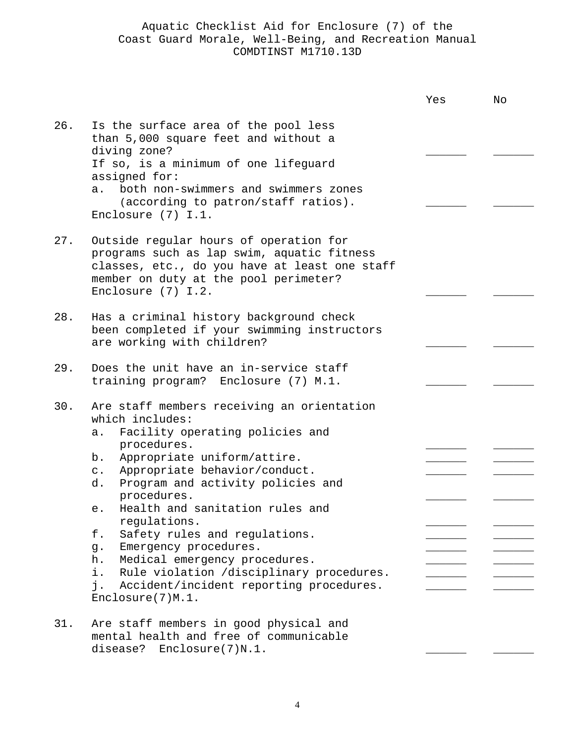|     |                                                                                                                                                                                                                                                                                                                                                                                                                                             | Yes | No |
|-----|---------------------------------------------------------------------------------------------------------------------------------------------------------------------------------------------------------------------------------------------------------------------------------------------------------------------------------------------------------------------------------------------------------------------------------------------|-----|----|
| 26. | Is the surface area of the pool less<br>than 5,000 square feet and without a<br>diving zone?<br>If so, is a minimum of one lifeguard<br>assigned for:<br>a. both non-swimmers and swimmers zones<br>(according to patron/staff ratios).                                                                                                                                                                                                     |     |    |
|     | Enclosure $(7)$ I.1.                                                                                                                                                                                                                                                                                                                                                                                                                        |     |    |
| 27. | Outside regular hours of operation for<br>programs such as lap swim, aquatic fitness<br>classes, etc., do you have at least one staff<br>member on duty at the pool perimeter?<br>Enclosure $(7)$ I.2.                                                                                                                                                                                                                                      |     |    |
| 28. | Has a criminal history background check<br>been completed if your swimming instructors<br>are working with children?                                                                                                                                                                                                                                                                                                                        |     |    |
| 29. | Does the unit have an in-service staff<br>training program? Enclosure (7) M.1.                                                                                                                                                                                                                                                                                                                                                              |     |    |
| 30. | Are staff members receiving an orientation<br>which includes:<br>Facility operating policies and<br>$a$ .<br>procedures.<br>Appropriate uniform/attire.<br>b.<br>Appropriate behavior/conduct.<br>$\circ$ .<br>Program and activity policies and<br>d.<br>procedures.<br>Health and sanitation rules and<br>e.<br>regulations.<br>Safety rules and regulations.<br>f.<br>Emergency procedures.<br>g.<br>Medical emergency procedures.<br>h. |     |    |
|     | Rule violation /disciplinary procedures.<br>i.<br>Accident/incident reporting procedures.<br>j.<br>Enclosure(7)M.1.                                                                                                                                                                                                                                                                                                                         |     |    |
| 31. | Are staff members in good physical and<br>mental health and free of communicable                                                                                                                                                                                                                                                                                                                                                            |     |    |

disease? Enclosure(7)N.1.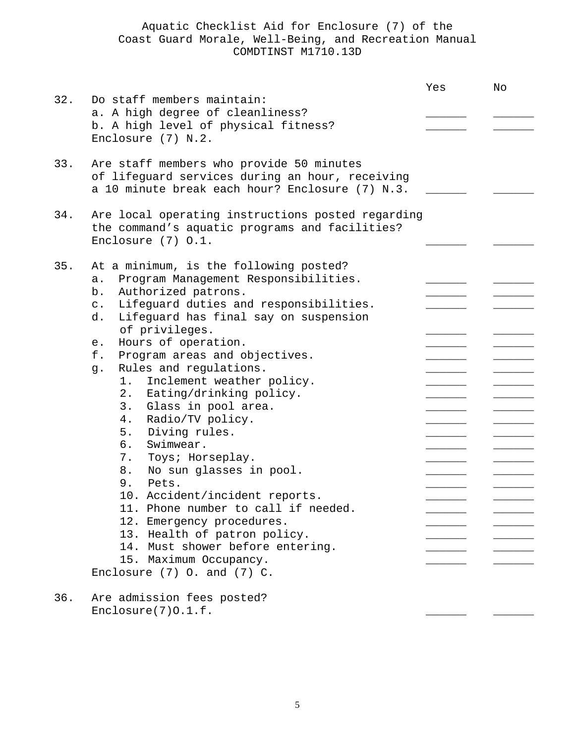|     |                                                                                                                                                                                                                                                                                                                                                                                                                                                                                                                                                                                                                                                                                                                                                                                                                                          | Yes | No |
|-----|------------------------------------------------------------------------------------------------------------------------------------------------------------------------------------------------------------------------------------------------------------------------------------------------------------------------------------------------------------------------------------------------------------------------------------------------------------------------------------------------------------------------------------------------------------------------------------------------------------------------------------------------------------------------------------------------------------------------------------------------------------------------------------------------------------------------------------------|-----|----|
| 32. | Do staff members maintain:<br>a. A high degree of cleanliness?<br>b. A high level of physical fitness?<br>Enclosure (7) N.2.                                                                                                                                                                                                                                                                                                                                                                                                                                                                                                                                                                                                                                                                                                             |     |    |
| 33. | Are staff members who provide 50 minutes<br>of lifequard services during an hour, receiving<br>a 10 minute break each hour? Enclosure (7) N.3.                                                                                                                                                                                                                                                                                                                                                                                                                                                                                                                                                                                                                                                                                           |     |    |
| 34. | Are local operating instructions posted regarding<br>the command's aquatic programs and facilities?<br>Enclosure $(7)$ 0.1.                                                                                                                                                                                                                                                                                                                                                                                                                                                                                                                                                                                                                                                                                                              |     |    |
| 35. | At a minimum, is the following posted?<br>Program Management Responsibilities.<br>$a$ .<br>Authorized patrons.<br>b.<br>Lifeguard duties and responsibilities.<br>$\mathsf{C}$ .<br>d.<br>Lifeguard has final say on suspension<br>of privileges.<br>Hours of operation.<br>e.<br>f.<br>Program areas and objectives.<br>Rules and regulations.<br>g.<br>Inclement weather policy.<br>1.<br>2. Eating/drinking policy.<br>3.<br>Glass in pool area.<br>Radio/TV policy.<br>4.<br>5.<br>Diving rules.<br>Swimwear.<br>б.<br>7.<br>Toys; Horseplay.<br>8.<br>No sun glasses in pool.<br>9.<br>Pets.<br>10. Accident/incident reports.<br>11. Phone number to call if needed.<br>12. Emergency procedures.<br>13. Health of patron policy.<br>14. Must shower before entering.<br>15. Maximum Occupancy.<br>Enclosure $(7)$ O. and $(7)$ C. |     |    |
| 36. | Are admission fees posted?<br>Enclosure(7)0.1.f.                                                                                                                                                                                                                                                                                                                                                                                                                                                                                                                                                                                                                                                                                                                                                                                         |     |    |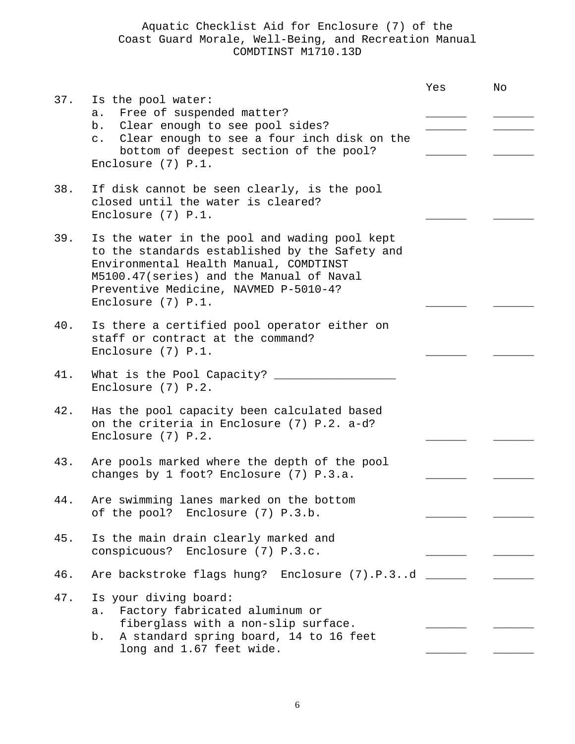|     |                                                                                                                                                                                                                                                        | Yes | No |
|-----|--------------------------------------------------------------------------------------------------------------------------------------------------------------------------------------------------------------------------------------------------------|-----|----|
| 37. | Is the pool water:<br>Free of suspended matter?<br>$a$ .<br>b. Clear enough to see pool sides?<br>c. Clear enough to see a four inch disk on the<br>bottom of deepest section of the pool?<br>Enclosure $(7)$ P.1.                                     |     |    |
| 38. | If disk cannot be seen clearly, is the pool<br>closed until the water is cleared?<br>Enclosure $(7)$ P.1.                                                                                                                                              |     |    |
| 39. | Is the water in the pool and wading pool kept<br>to the standards established by the Safety and<br>Environmental Health Manual, COMDTINST<br>M5100.47(series) and the Manual of Naval<br>Preventive Medicine, NAVMED P-5010-4?<br>Enclosure $(7)$ P.1. |     |    |
| 40. | Is there a certified pool operator either on<br>staff or contract at the command?<br>Enclosure (7) P.1.                                                                                                                                                |     |    |
| 41. | What is the Pool Capacity? ______<br>Enclosure $(7)$ P.2.                                                                                                                                                                                              |     |    |
| 42. | Has the pool capacity been calculated based<br>on the criteria in Enclosure (7) P.2. a-d?<br>Enclosure $(7)$ P.2.                                                                                                                                      |     |    |
| 43. | Are pools marked where the depth of the pool<br>changes by 1 foot? Enclosure (7) P.3.a.                                                                                                                                                                |     |    |
| 44. | Are swimming lanes marked on the bottom<br>of the pool? Enclosure (7) P.3.b.                                                                                                                                                                           |     |    |
| 45. | Is the main drain clearly marked and<br>conspicuous? Enclosure (7) P.3.c.                                                                                                                                                                              |     |    |
| 46. | Are backstroke flags hung? Enclosure (7).P.3d _____                                                                                                                                                                                                    |     |    |
| 47. | Is your diving board:<br>Factory fabricated aluminum or<br>a.<br>fiberglass with a non-slip surface.<br>A standard spring board, 14 to 16 feet<br>b.<br>long and 1.67 feet wide.                                                                       |     |    |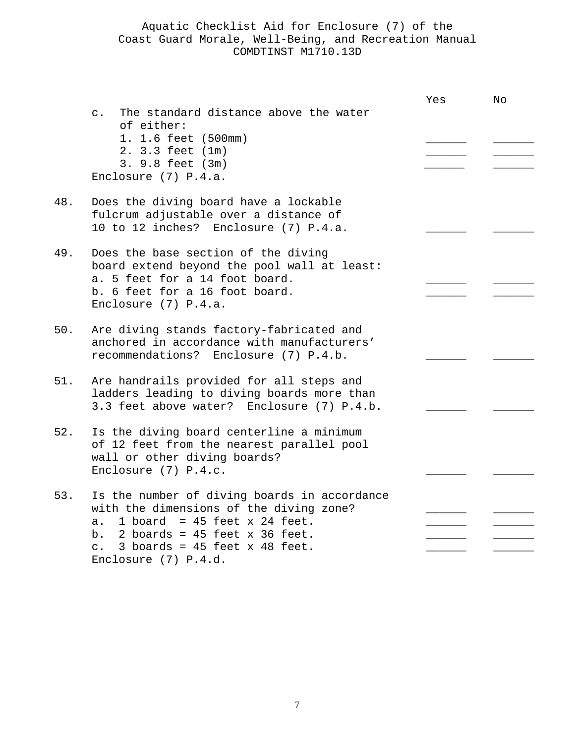|     |                                                                                                                                                                                                                                                           | Yes | No |
|-----|-----------------------------------------------------------------------------------------------------------------------------------------------------------------------------------------------------------------------------------------------------------|-----|----|
|     | The standard distance above the water<br>$\mathsf{C}$ .<br>of either:<br>1. 1.6 feet (500mm)<br>2. 3.3 feet (1m)<br>3. 9.8 feet (3m)<br>Enclosure (7) P.4.a.                                                                                              |     |    |
| 48. | Does the diving board have a lockable<br>fulcrum adjustable over a distance of<br>10 to 12 inches? Enclosure (7) P.4.a.                                                                                                                                   |     |    |
| 49. | Does the base section of the diving<br>board extend beyond the pool wall at least:<br>a. 5 feet for a 14 foot board.<br>b. 6 feet for a 16 foot board.<br>Enclosure $(7)$ P.4.a.                                                                          |     |    |
| 50. | Are diving stands factory-fabricated and<br>anchored in accordance with manufacturers'<br>recommendations? Enclosure (7) P.4.b.                                                                                                                           |     |    |
| 51. | Are handrails provided for all steps and<br>ladders leading to diving boards more than<br>3.3 feet above water? Enclosure (7) P.4.b.                                                                                                                      |     |    |
| 52. | Is the diving board centerline a minimum<br>of 12 feet from the nearest parallel pool<br>wall or other diving boards?<br>Enclosure $(7)$ P.4.c.                                                                                                           |     |    |
| 53. | Is the number of diving boards in accordance<br>with the dimensions of the diving zone?<br>1 board = $45$ feet x 24 feet.<br>$a$ .<br>b. 2 boards = $45$ feet x $36$ feet.<br>3 boards = $45$ feet x $48$ feet.<br>$\mathsf{C}$ .<br>Enclosure (7) P.4.d. |     |    |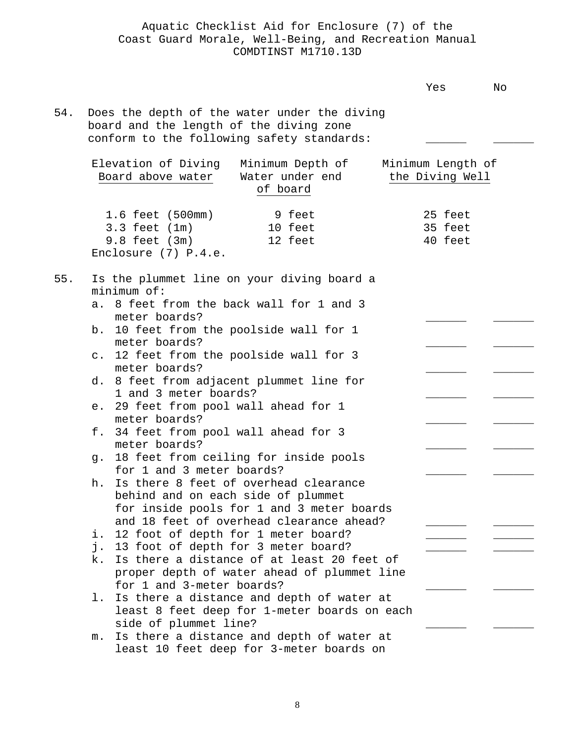|     |                                                                                                                                                                                                                                                                                                                                                                                                                                                                                                                                                                                                                                                            | Yes                                  | No |
|-----|------------------------------------------------------------------------------------------------------------------------------------------------------------------------------------------------------------------------------------------------------------------------------------------------------------------------------------------------------------------------------------------------------------------------------------------------------------------------------------------------------------------------------------------------------------------------------------------------------------------------------------------------------------|--------------------------------------|----|
| 54. | Does the depth of the water under the diving<br>board and the length of the diving zone<br>conform to the following safety standards:                                                                                                                                                                                                                                                                                                                                                                                                                                                                                                                      |                                      |    |
|     | Elevation of Diving<br>Minimum Depth of<br>Board above water<br>Water under end<br>of board                                                                                                                                                                                                                                                                                                                                                                                                                                                                                                                                                                | Minimum Length of<br>the Diving Well |    |
|     | 1.6 feet (500mm)<br>9 feet<br>$3.3$ feet $(1m)$<br>10 feet<br>$9.8$ feet $(3m)$<br>12 feet<br>Enclosure $(7)$ P.4.e.                                                                                                                                                                                                                                                                                                                                                                                                                                                                                                                                       | 25 feet<br>35 feet<br>40 feet        |    |
| 55. | Is the plummet line on your diving board a<br>$minimum$ of:<br>a. 8 feet from the back wall for 1 and 3<br>meter boards?<br>b. 10 feet from the poolside wall for 1<br>meter boards?<br>c. 12 feet from the poolside wall for 3<br>meter boards?<br>d. 8 feet from adjacent plummet line for<br>1 and 3 meter boards?<br>e. 29 feet from pool wall ahead for 1<br>meter boards?<br>34 feet from pool wall ahead for 3<br>f.<br>meter boards?<br>18 feet from ceiling for inside pools<br>q.<br>for 1 and 3 meter boards?<br>Is there 8 feet of overhead clearance<br>h.<br>behind and on each side of plummet<br>for inside pools for 1 and 3 meter boards |                                      |    |
|     | and 18 feet of overhead clearance ahead?<br>12 foot of depth for 1 meter board?<br>i.<br>13 foot of depth for 3 meter board?<br>j.<br>Is there a distance of at least 20 feet of<br>k.<br>proper depth of water ahead of plummet line<br>for 1 and 3-meter boards?<br>Is there a distance and depth of water at<br>$\perp$ .                                                                                                                                                                                                                                                                                                                               |                                      |    |
|     | least 8 feet deep for 1-meter boards on each<br>side of plummet line?<br>Is there a distance and depth of water at<br>m.<br>least 10 feet deep for 3-meter boards on                                                                                                                                                                                                                                                                                                                                                                                                                                                                                       |                                      |    |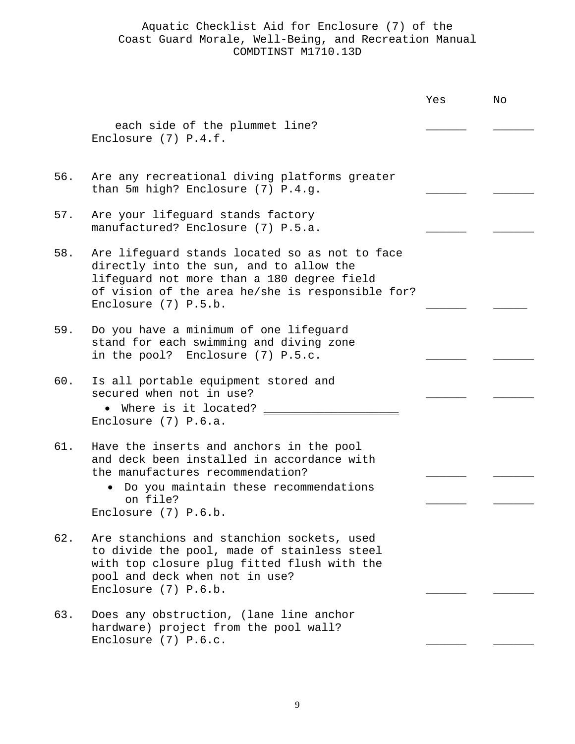|     |                                                                                                                                                                                                                       | Yes | No |
|-----|-----------------------------------------------------------------------------------------------------------------------------------------------------------------------------------------------------------------------|-----|----|
|     | each side of the plummet line?<br>Enclosure $(7)$ P.4.f.                                                                                                                                                              |     |    |
| 56. | Are any recreational diving platforms greater<br>than 5m high? Enclosure (7) P.4.g.                                                                                                                                   |     |    |
| 57. | Are your lifeguard stands factory<br>manufactured? Enclosure (7) P.5.a.                                                                                                                                               |     |    |
| 58. | Are lifeguard stands located so as not to face<br>directly into the sun, and to allow the<br>lifeguard not more than a 180 degree field<br>of vision of the area he/she is responsible for?<br>Enclosure $(7)$ P.5.b. |     |    |
| 59. | Do you have a minimum of one lifeguard<br>stand for each swimming and diving zone<br>in the pool? Enclosure (7) P.5.c.                                                                                                |     |    |
| 60. | Is all portable equipment stored and<br>secured when not in use?<br>• Where is it located?<br>Enclosure $(7)$ P.6.a.                                                                                                  |     |    |
| 61. | Have the inserts and anchors in the pool<br>and deck been installed in accordance with<br>the manufactures recommendation?<br>• Do you maintain these recommendations<br>on file?<br>Enclosure (7) P.6.b.             |     |    |
| 62. | Are stanchions and stanchion sockets, used<br>to divide the pool, made of stainless steel<br>with top closure plug fitted flush with the<br>pool and deck when not in use?<br>Enclosure (7) P.6.b.                    |     |    |
| 63. | Does any obstruction, (lane line anchor<br>hardware) project from the pool wall?<br>Enclosure (7) P.6.c.                                                                                                              |     |    |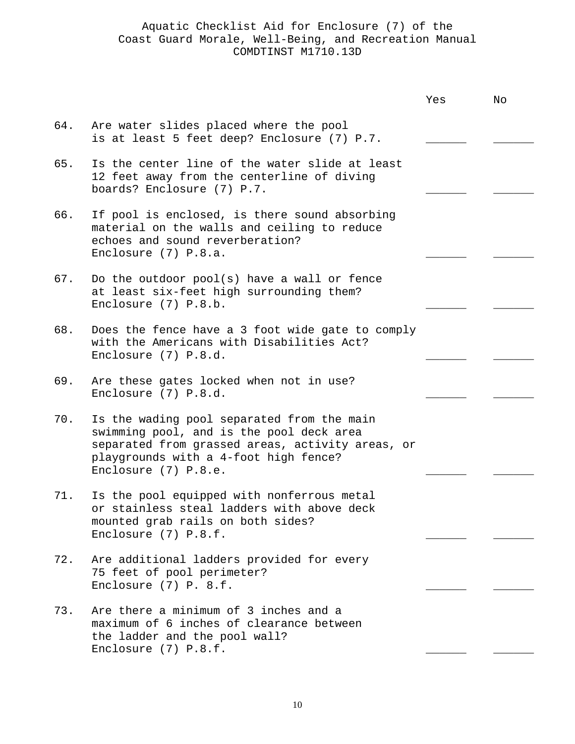|     |                                                                                                                                                                                                             | Yes | No |
|-----|-------------------------------------------------------------------------------------------------------------------------------------------------------------------------------------------------------------|-----|----|
| 64. | Are water slides placed where the pool<br>is at least 5 feet deep? Enclosure (7) P.7.                                                                                                                       |     |    |
| 65. | Is the center line of the water slide at least<br>12 feet away from the centerline of diving<br>boards? Enclosure (7) P.7.                                                                                  |     |    |
| 66. | If pool is enclosed, is there sound absorbing<br>material on the walls and ceiling to reduce<br>echoes and sound reverberation?<br>Enclosure (7) P.8.a.                                                     |     |    |
| 67. | Do the outdoor pool(s) have a wall or fence<br>at least six-feet high surrounding them?<br>Enclosure (7) P.8.b.                                                                                             |     |    |
| 68. | Does the fence have a 3 foot wide gate to comply<br>with the Americans with Disabilities Act?<br>Enclosure (7) P.8.d.                                                                                       |     |    |
| 69. | Are these gates locked when not in use?<br>Enclosure (7) P.8.d.                                                                                                                                             |     |    |
| 70. | Is the wading pool separated from the main<br>swimming pool, and is the pool deck area<br>separated from grassed areas, activity areas, or<br>playgrounds with a 4-foot high fence?<br>Enclosure (7) P.8.e. |     |    |
| 71. | Is the pool equipped with nonferrous metal<br>or stainless steal ladders with above deck<br>mounted grab rails on both sides?<br>Enclosure (7) P.8.f.                                                       |     |    |
| 72. | Are additional ladders provided for every<br>75 feet of pool perimeter?<br>Enclosure $(7)$ P. 8.f.                                                                                                          |     |    |
| 73. | Are there a minimum of 3 inches and a<br>maximum of 6 inches of clearance between<br>the ladder and the pool wall?<br>Enclosure (7) P.8.f.                                                                  |     |    |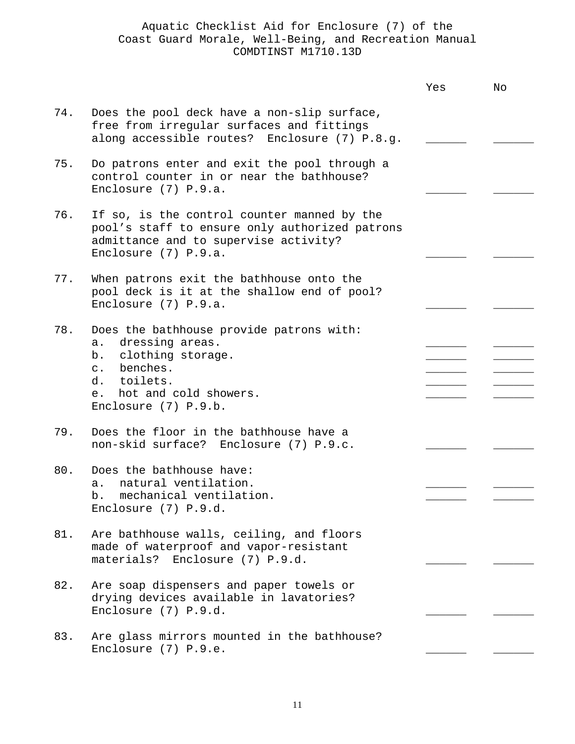|     |                                                                                                                                                                                               | Yes | No |
|-----|-----------------------------------------------------------------------------------------------------------------------------------------------------------------------------------------------|-----|----|
| 74. | Does the pool deck have a non-slip surface,<br>free from irregular surfaces and fittings<br>along accessible routes? Enclosure (7) P.8.g.                                                     |     |    |
| 75. | Do patrons enter and exit the pool through a<br>control counter in or near the bathhouse?<br>Enclosure $(7)$ P.9.a.                                                                           |     |    |
| 76. | If so, is the control counter manned by the<br>pool's staff to ensure only authorized patrons<br>admittance and to supervise activity?<br>Enclosure (7) P.9.a.                                |     |    |
| 77. | When patrons exit the bathhouse onto the<br>pool deck is it at the shallow end of pool?<br>Enclosure (7) P.9.a.                                                                               |     |    |
| 78. | Does the bathhouse provide patrons with:<br>dressing areas.<br>a.<br>b. clothing storage.<br>benches.<br>$\mathsf{C}$ .<br>d. toilets.<br>hot and cold showers.<br>e.<br>Enclosure (7) P.9.b. |     |    |
| 79. | Does the floor in the bathhouse have a<br>non-skid surface? Enclosure (7) P.9.c.                                                                                                              |     |    |
| 80. | Does the bathhouse have:<br>natural ventilation.<br>$a$ .<br>mechanical ventilation.<br>b.<br>Enclosure (7) P.9.d.                                                                            |     |    |
| 81. | Are bathhouse walls, ceiling, and floors<br>made of waterproof and vapor-resistant<br>materials?<br>Enclosure (7) P.9.d.                                                                      |     |    |
| 82. | Are soap dispensers and paper towels or<br>drying devices available in lavatories?<br>Enclosure (7) P.9.d.                                                                                    |     |    |
| 83. | Are glass mirrors mounted in the bathhouse?<br>Enclosure (7) P.9.e.                                                                                                                           |     |    |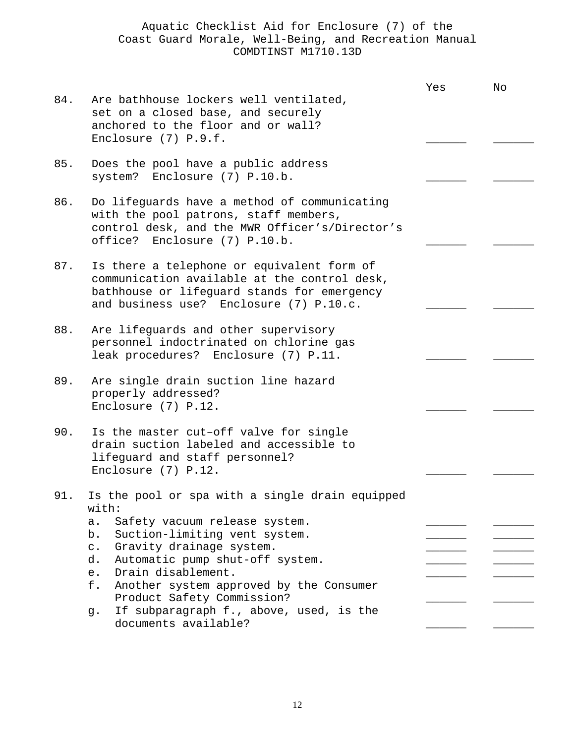|     |                                                                                                                                                                                                                                                                                                                                                                                                             | Yes | No |
|-----|-------------------------------------------------------------------------------------------------------------------------------------------------------------------------------------------------------------------------------------------------------------------------------------------------------------------------------------------------------------------------------------------------------------|-----|----|
| 84. | Are bathhouse lockers well ventilated,<br>set on a closed base, and securely<br>anchored to the floor and or wall?<br>Enclosure (7) P.9.f.                                                                                                                                                                                                                                                                  |     |    |
| 85. | Does the pool have a public address<br>system? Enclosure (7) P.10.b.                                                                                                                                                                                                                                                                                                                                        |     |    |
| 86. | Do lifeguards have a method of communicating<br>with the pool patrons, staff members,<br>control desk, and the MWR Officer's/Director's<br>office? Enclosure (7) P.10.b.                                                                                                                                                                                                                                    |     |    |
| 87. | Is there a telephone or equivalent form of<br>communication available at the control desk,<br>bathhouse or lifeguard stands for emergency<br>and business use? Enclosure (7) P.10.c.                                                                                                                                                                                                                        |     |    |
| 88. | Are lifeguards and other supervisory<br>personnel indoctrinated on chlorine gas<br>leak procedures? Enclosure (7) P.11.                                                                                                                                                                                                                                                                                     |     |    |
| 89. | Are single drain suction line hazard<br>properly addressed?<br>Enclosure (7) P.12.                                                                                                                                                                                                                                                                                                                          |     |    |
| 90. | Is the master cut-off valve for single<br>drain suction labeled and accessible to<br>lifeguard and staff personnel?<br>Enclosure (7) P.12.                                                                                                                                                                                                                                                                  |     |    |
| 91. | Is the pool or spa with a single drain equipped<br>with:<br>Safety vacuum release system.<br>a.<br>Suction-limiting vent system.<br>b.<br>Gravity drainage system.<br>$C$ .<br>Automatic pump shut-off system.<br>d.<br>Drain disablement.<br>$e$ .<br>f.<br>Another system approved by the Consumer<br>Product Safety Commission?<br>If subparagraph f., above, used, is the<br>q.<br>documents available? |     |    |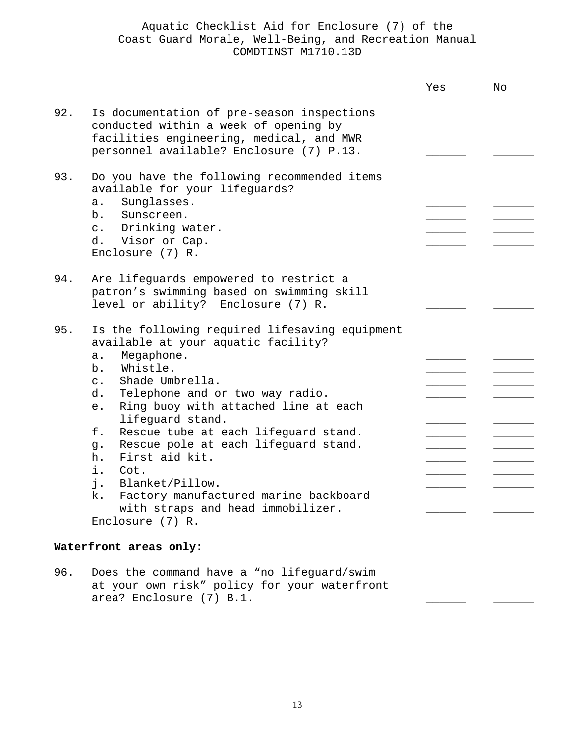|                        |                                                                                                                                                                                                                                                                                                                                                                                                                                                                                                                                                | Yes | Nο |
|------------------------|------------------------------------------------------------------------------------------------------------------------------------------------------------------------------------------------------------------------------------------------------------------------------------------------------------------------------------------------------------------------------------------------------------------------------------------------------------------------------------------------------------------------------------------------|-----|----|
| 92.                    | Is documentation of pre-season inspections<br>conducted within a week of opening by<br>facilities engineering, medical, and MWR<br>personnel available? Enclosure (7) P.13.                                                                                                                                                                                                                                                                                                                                                                    |     |    |
| 93.                    | Do you have the following recommended items<br>available for your lifeguards?<br>Sunglasses.<br>$a$ .<br>b.<br>Sunscreen.<br>c. Drinking water.<br>d. Visor or Cap.<br>Enclosure (7) R.                                                                                                                                                                                                                                                                                                                                                        |     |    |
| 94.                    | Are lifeguards empowered to restrict a<br>patron's swimming based on swimming skill<br>level or ability? Enclosure (7) R.                                                                                                                                                                                                                                                                                                                                                                                                                      |     |    |
| 95.                    | Is the following required lifesaving equipment<br>available at your aquatic facility?<br>Megaphone.<br>a.<br>Whistle.<br>b.<br>Shade Umbrella.<br>$\mathsf{C}$ .<br>Telephone and or two way radio.<br>d.<br>Ring buoy with attached line at each<br>e.<br>lifeguard stand.<br>f.<br>Rescue tube at each lifeguard stand.<br>Rescue pole at each lifeguard stand.<br>q.<br>First aid kit.<br>h.<br>i.<br>Cot.<br>j.<br>Blanket/Pillow.<br>k.<br>Factory manufactured marine backboard<br>with straps and head immobilizer.<br>Enclosure (7) R. |     |    |
| Waterfront areas only: |                                                                                                                                                                                                                                                                                                                                                                                                                                                                                                                                                |     |    |

96. Does the command have a "no lifeguard/swim at your own risk" policy for your waterfront area? Enclosure (7) B.1.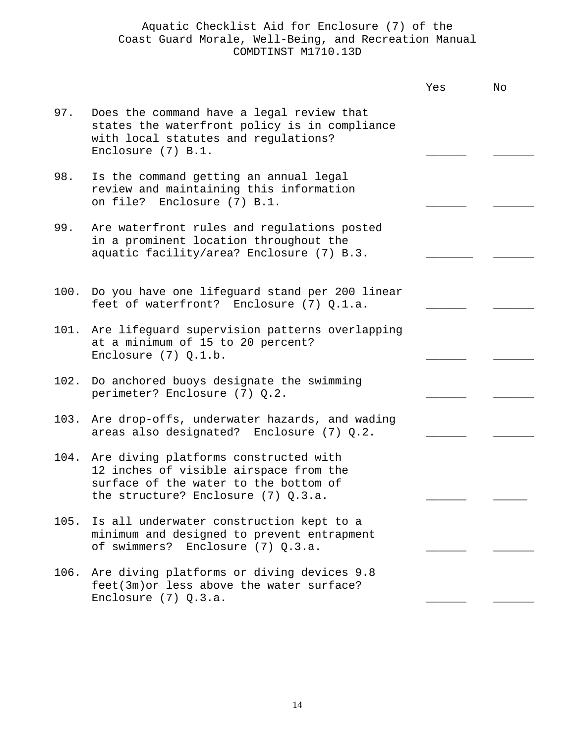|      |                                                                                                                                                                   | Yes | No |
|------|-------------------------------------------------------------------------------------------------------------------------------------------------------------------|-----|----|
| 97.  | Does the command have a legal review that<br>states the waterfront policy is in compliance<br>with local statutes and regulations?<br>Enclosure $(7)$ B.1.        |     |    |
| 98.  | Is the command getting an annual legal<br>review and maintaining this information<br>on file? Enclosure (7) B.1.                                                  |     |    |
| 99.  | Are waterfront rules and regulations posted<br>in a prominent location throughout the<br>aquatic facility/area? Enclosure (7) B.3.                                |     |    |
|      | 100. Do you have one lifeguard stand per 200 linear<br>feet of waterfront? Enclosure (7) Q.1.a.                                                                   |     |    |
| 101. | Are lifeguard supervision patterns overlapping<br>at a minimum of 15 to 20 percent?<br>Enclosure $(7)$ Q.1.b.                                                     |     |    |
| 102. | Do anchored buoys designate the swimming<br>perimeter? Enclosure (7) Q.2.                                                                                         |     |    |
| 103. | Are drop-offs, underwater hazards, and wading<br>areas also designated? Enclosure (7) Q.2.                                                                        |     |    |
| 104. | Are diving platforms constructed with<br>12 inches of visible airspace from the<br>surface of the water to the bottom of<br>the structure? Enclosure $(7)$ Q.3.a. |     |    |
| 105. | Is all underwater construction kept to a<br>minimum and designed to prevent entrapment<br>of swimmers?<br>Enclosure $(7)$ Q.3.a.                                  |     |    |
| 106. | Are diving platforms or diving devices 9.8<br>feet(3m) or less above the water surface?<br>Enclosure $(7)$ Q.3.a.                                                 |     |    |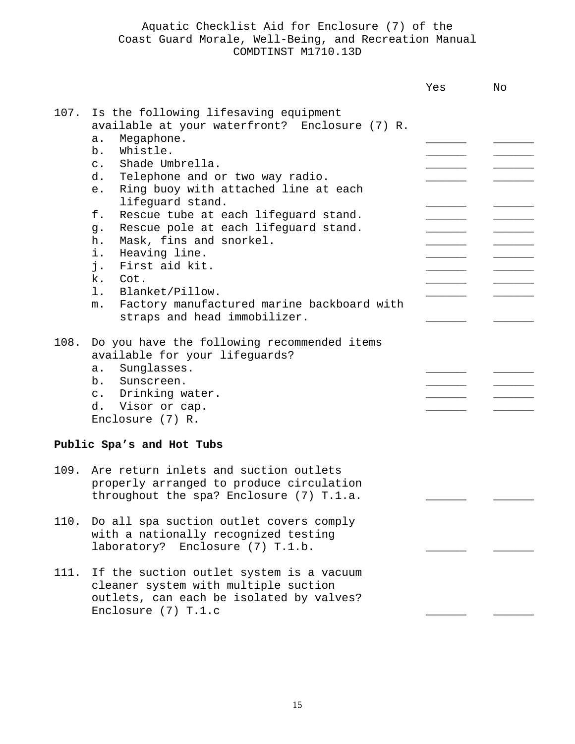|      |                                                                                                                                                                                                                                                                                                                                                                                                                                                                                                                                                                                                     | Yes | No |
|------|-----------------------------------------------------------------------------------------------------------------------------------------------------------------------------------------------------------------------------------------------------------------------------------------------------------------------------------------------------------------------------------------------------------------------------------------------------------------------------------------------------------------------------------------------------------------------------------------------------|-----|----|
| 107. | Is the following lifesaving equipment<br>available at your waterfront? Enclosure (7) R.<br>Megaphone.<br>$a$ .<br>Whistle.<br>b.<br>Shade Umbrella.<br>$\mathsf{C}$ .<br>Telephone and or two way radio.<br>d.<br>Ring buoy with attached line at each<br>e.<br>lifeguard stand.<br>f.<br>Rescue tube at each lifeguard stand.<br>Rescue pole at each lifeguard stand.<br>g.<br>Mask, fins and snorkel.<br>h.<br>i.<br>Heaving line.<br>j.<br>First aid kit.<br>k.<br>Cot.<br>1.<br>Blanket/Pillow.<br>Factory manufactured marine backboard with<br>m <sub>1</sub><br>straps and head immobilizer. |     |    |
| 108. | Do you have the following recommended items<br>available for your lifeguards?<br>Sunglasses.<br>a.<br>b. Sunscreen.<br>c. Drinking water.<br>d. Visor or cap.<br>Enclosure (7) R.                                                                                                                                                                                                                                                                                                                                                                                                                   |     |    |
|      | Public Spa's and Hot Tubs                                                                                                                                                                                                                                                                                                                                                                                                                                                                                                                                                                           |     |    |
| 109. | Are return inlets and suction outlets<br>properly arranged to produce circulation<br>throughout the spa? Enclosure (7) T.1.a.                                                                                                                                                                                                                                                                                                                                                                                                                                                                       |     |    |
| 110. | Do all spa suction outlet covers comply<br>with a nationally recognized testing<br>laboratory? Enclosure (7) T.1.b.                                                                                                                                                                                                                                                                                                                                                                                                                                                                                 |     |    |
| 111. | If the suction outlet system is a vacuum<br>cleaner system with multiple suction<br>outlets, can each be isolated by valves?<br>Enclosure (7) T.1.c                                                                                                                                                                                                                                                                                                                                                                                                                                                 |     |    |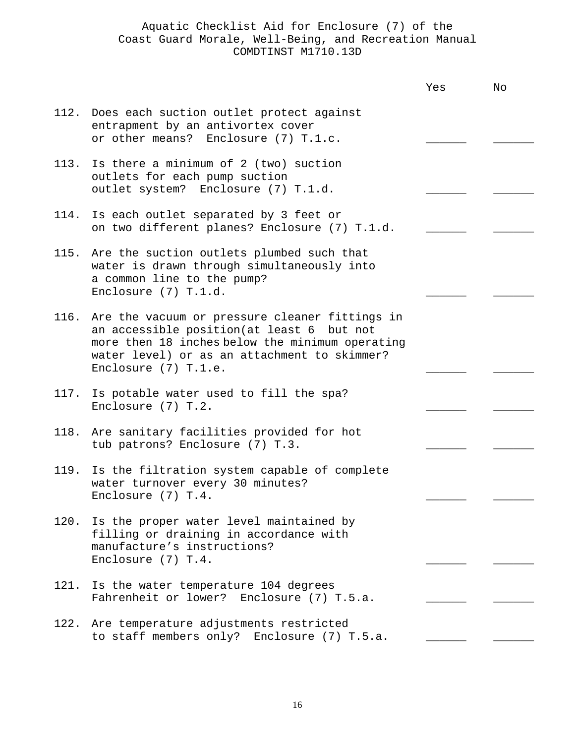|      |                                                                                                                                                                                                                                | Yes | No |
|------|--------------------------------------------------------------------------------------------------------------------------------------------------------------------------------------------------------------------------------|-----|----|
|      | 112. Does each suction outlet protect against<br>entrapment by an antivortex cover<br>or other means? Enclosure (7) T.1.c.                                                                                                     |     |    |
|      | 113. Is there a minimum of 2 (two) suction<br>outlets for each pump suction<br>outlet system? Enclosure (7) T.1.d.                                                                                                             |     |    |
| 114. | Is each outlet separated by 3 feet or<br>on two different planes? Enclosure (7) T.1.d.                                                                                                                                         |     |    |
| 115. | Are the suction outlets plumbed such that<br>water is drawn through simultaneously into<br>a common line to the pump?<br>Enclosure (7) T.1.d.                                                                                  |     |    |
|      | 116. Are the vacuum or pressure cleaner fittings in<br>an accessible position (at least 6 but not<br>more then 18 inches below the minimum operating<br>water level) or as an attachment to skimmer?<br>Enclosure $(7)$ T.1.e. |     |    |
| 117. | Is potable water used to fill the spa?<br>Enclosure $(7)$ T.2.                                                                                                                                                                 |     |    |
| 118. | Are sanitary facilities provided for hot<br>tub patrons? Enclosure (7) T.3.                                                                                                                                                    |     |    |
| 119. | Is the filtration system capable of complete<br>water turnover every 30 minutes?<br>Enclosure $(7)$ T.4.                                                                                                                       |     |    |
|      | 120. Is the proper water level maintained by<br>filling or draining in accordance with<br>manufacture's instructions?<br>Enclosure (7) T.4.                                                                                    |     |    |
| 121. | Is the water temperature 104 degrees<br>Fahrenheit or lower? Enclosure (7) T.5.a.                                                                                                                                              |     |    |
|      | 122. Are temperature adjustments restricted<br>to staff members only? Enclosure (7) T.5.a.                                                                                                                                     |     |    |